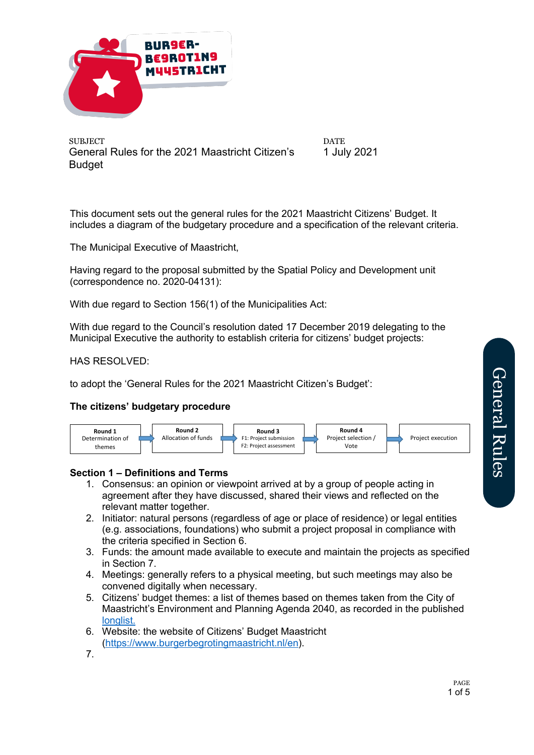

**DATE** 1 July 2021

This document sets out the general rules for the 2021 Maastricht Citizens' Budget. It includes a diagram of the budgetary procedure and a specification of the relevant criteria.

The Municipal Executive of Maastricht,

Having regard to the proposal submitted by the Spatial Policy and Development unit (correspondence no. 2020-04131):

With due regard to Section 156(1) of the Municipalities Act:

With due regard to the Council's resolution dated 17 December 2019 delegating to the Municipal Executive the authority to establish criteria for citizens' budget projects:

### HAS RESOLVED:

to adopt the 'General Rules for the 2021 Maastricht Citizen's Budget':

### **The citizens' budgetary procedure**



#### **Section 1 – Definitions and Terms**

- 1. Consensus: an opinion or viewpoint arrived at by a group of people acting in agreement after they have discussed, shared their views and reflected on the relevant matter together.
- 2. Initiator: natural persons (regardless of age or place of residence) or legal entities (e.g. associations, foundations) who submit a project proposal in compliance with the criteria specified in Section 6.
- 3. Funds: the amount made available to execute and maintain the projects as specified in Section 7.
- 4. Meetings: generally refers to a physical meeting, but such meetings may also be convened digitally when necessary.
- 5. Citizens' budget themes: a list of themes based on themes taken from the City of Maastricht's Environment and Planning Agenda 2040, as recorded in the published longlist.
- 6. Website: the website of Citizens' Budget Maastricht (https://www.burgerbegrotingmaastricht.nl/en).
- 7.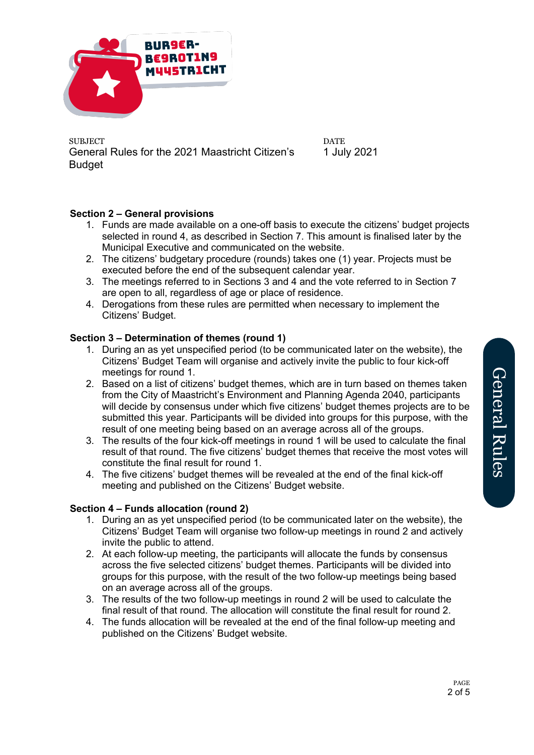

**DATE** 1 July 2021

# **Section 2 – General provisions**

- 1. Funds are made available on a one-off basis to execute the citizens' budget projects selected in round 4, as described in Section 7. This amount is finalised later by the Municipal Executive and communicated on the website.
- 2. The citizens' budgetary procedure (rounds) takes one (1) year. Projects must be executed before the end of the subsequent calendar year.
- 3. The meetings referred to in Sections 3 and 4 and the vote referred to in Section 7 are open to all, regardless of age or place of residence.
- 4. Derogations from these rules are permitted when necessary to implement the Citizens' Budget.

## **Section 3 – Determination of themes (round 1)**

- 1. During an as yet unspecified period (to be communicated later on the website), the Citizens' Budget Team will organise and actively invite the public to four kick-off meetings for round 1.
- 2. Based on a list of citizens' budget themes, which are in turn based on themes taken from the City of Maastricht's Environment and Planning Agenda 2040, participants will decide by consensus under which five citizens' budget themes projects are to be submitted this year. Participants will be divided into groups for this purpose, with the result of one meeting being based on an average across all of the groups.
- 3. The results of the four kick-off meetings in round 1 will be used to calculate the final result of that round. The five citizens' budget themes that receive the most votes will constitute the final result for round 1.
- 4. The five citizens' budget themes will be revealed at the end of the final kick-off meeting and published on the Citizens' Budget website.

### **Section 4 – Funds allocation (round 2)**

- 1. During an as yet unspecified period (to be communicated later on the website), the Citizens' Budget Team will organise two follow-up meetings in round 2 and actively invite the public to attend.
- 2. At each follow-up meeting, the participants will allocate the funds by consensus across the five selected citizens' budget themes. Participants will be divided into groups for this purpose, with the result of the two follow-up meetings being based on an average across all of the groups.
- 3. The results of the two follow-up meetings in round 2 will be used to calculate the final result of that round. The allocation will constitute the final result for round 2.
- 4. The funds allocation will be revealed at the end of the final follow-up meeting and published on the Citizens' Budget website.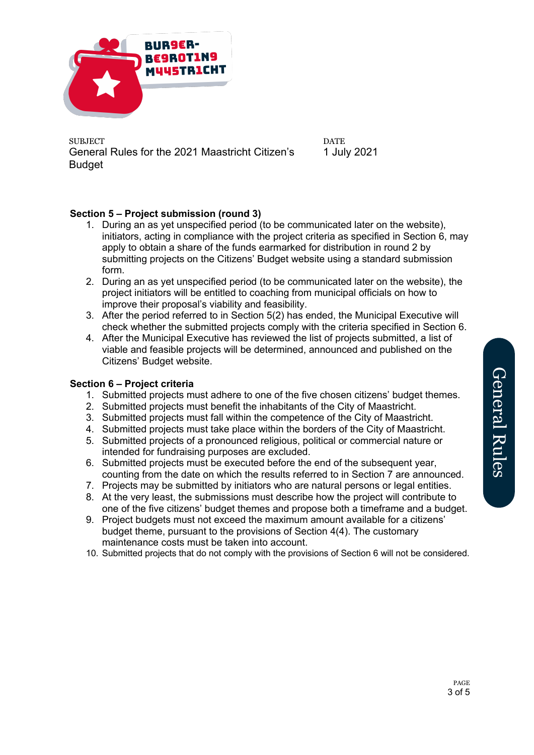

**DATE** 1 July 2021

# **Section 5 – Project submission (round 3)**

- 1. During an as yet unspecified period (to be communicated later on the website), initiators, acting in compliance with the project criteria as specified in Section 6, may apply to obtain a share of the funds earmarked for distribution in round 2 by submitting projects on the Citizens' Budget website using a standard submission form.
- 2. During an as yet unspecified period (to be communicated later on the website), the project initiators will be entitled to coaching from municipal officials on how to improve their proposal's viability and feasibility.
- 3. After the period referred to in Section 5(2) has ended, the Municipal Executive will check whether the submitted projects comply with the criteria specified in Section 6.
- 4. After the Municipal Executive has reviewed the list of projects submitted, a list of viable and feasible projects will be determined, announced and published on the Citizens' Budget website.

### **Section 6 – Project criteria**

- 1. Submitted projects must adhere to one of the five chosen citizens' budget themes.
- 2. Submitted projects must benefit the inhabitants of the City of Maastricht.
- 3. Submitted projects must fall within the competence of the City of Maastricht.
- 4. Submitted projects must take place within the borders of the City of Maastricht.
- 5. Submitted projects of a pronounced religious, political or commercial nature or intended for fundraising purposes are excluded.
- 6. Submitted projects must be executed before the end of the subsequent year, counting from the date on which the results referred to in Section 7 are announced.
- 7. Projects may be submitted by initiators who are natural persons or legal entities.
- 8. At the very least, the submissions must describe how the project will contribute to one of the five citizens' budget themes and propose both a timeframe and a budget.
- 9. Project budgets must not exceed the maximum amount available for a citizens' budget theme, pursuant to the provisions of Section 4(4). The customary maintenance costs must be taken into account.
- 10. Submitted projects that do not comply with the provisions of Section 6 will not be considered.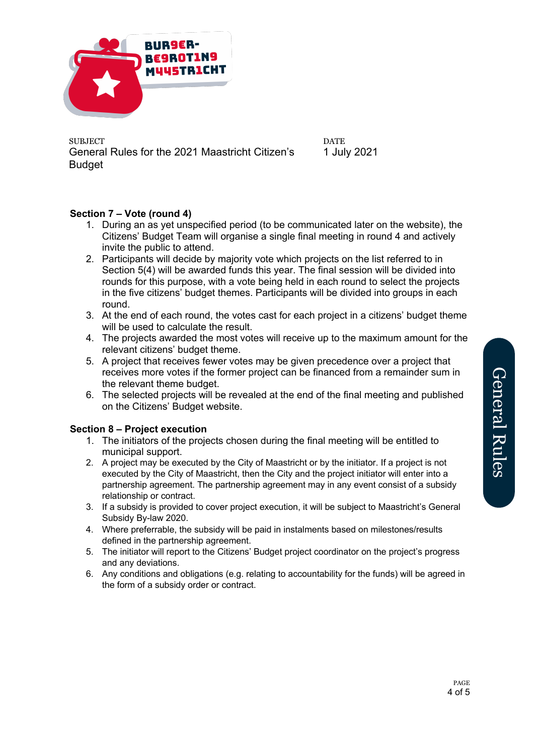

**DATE** 1 July 2021

# **Section 7 – Vote (round 4)**

- 1. During an as yet unspecified period (to be communicated later on the website), the Citizens' Budget Team will organise a single final meeting in round 4 and actively invite the public to attend.
- 2. Participants will decide by majority vote which projects on the list referred to in Section 5(4) will be awarded funds this year. The final session will be divided into rounds for this purpose, with a vote being held in each round to select the projects in the five citizens' budget themes. Participants will be divided into groups in each round.
- 3. At the end of each round, the votes cast for each project in a citizens' budget theme will be used to calculate the result.
- 4. The projects awarded the most votes will receive up to the maximum amount for the relevant citizens' budget theme.
- 5. A project that receives fewer votes may be given precedence over a project that receives more votes if the former project can be financed from a remainder sum in the relevant theme budget.
- 6. The selected projects will be revealed at the end of the final meeting and published on the Citizens' Budget website.

### **Section 8 – Project execution**

- 1. The initiators of the projects chosen during the final meeting will be entitled to municipal support.
- 2. A project may be executed by the City of Maastricht or by the initiator. If a project is not executed by the City of Maastricht, then the City and the project initiator will enter into a partnership agreement. The partnership agreement may in any event consist of a subsidy relationship or contract.
- 3. If a subsidy is provided to cover project execution, it will be subject to Maastricht's General Subsidy By-law 2020.
- 4. Where preferrable, the subsidy will be paid in instalments based on milestones/results defined in the partnership agreement.
- 5. The initiator will report to the Citizens' Budget project coordinator on the project's progress and any deviations.
- 6. Any conditions and obligations (e.g. relating to accountability for the funds) will be agreed in the form of a subsidy order or contract.